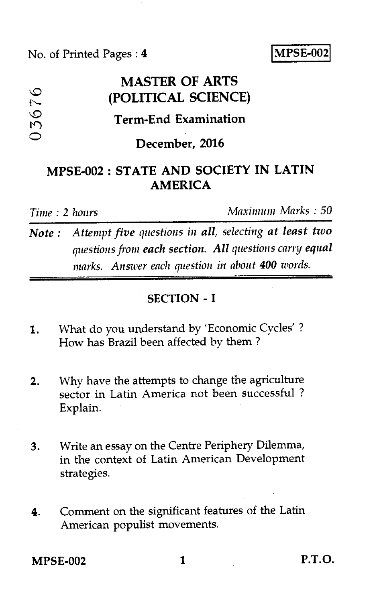No. of Printed Pages : 4 **IMPSE-002** 

**MASTER OF ARTS (POLITICAL SCIENCE) israel control COLITICAL SCIENCE**<br> **is Term-End Examination**<br>
○ **December, 2016 MPSE-002 : STATE AND SOCIETY IN LATIN AMERICA**  *Time : 2 hours Maximum Marks : 50* 

*Note : Attempt five questions in all, selecting at least two questions from each section. All questions carry equal marks. Answer each question in about 400 words.* 

### **SECTION - I**

- 1. What do you understand by 'Economic Cycles' ? How has Brazil been affected by them ?
- 2. Why have the attempts to change the agriculture sector in Latin America not been successful ? Explain.
- 3. Write an essay on the Centre Periphery Dilemma, in the context of Latin American Development strategies.
- 4. Comment on the significant features of the Latin American populist movements.

**MPSE-002 1 P.T.O.**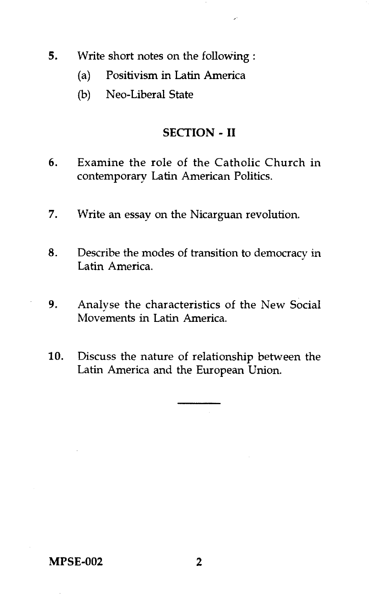- **5.** Write short notes on the folloWing :
	- (a) Positivism in Latin America
	- (b) Neo-Liberal State

### **SECTION - II**

- **6.** Examine the role of the Catholic Church in contemporary Latin American Politics.
- 7. Write an essay on the Nicarguan revolution.
- 8. Describe the modes of transition to democracy in Latin America.
- **9.** Analyse the characteristics of the New Social Movements in Latin America.
- **10.** Discuss the nature of relationship between the Latin America and the European Union.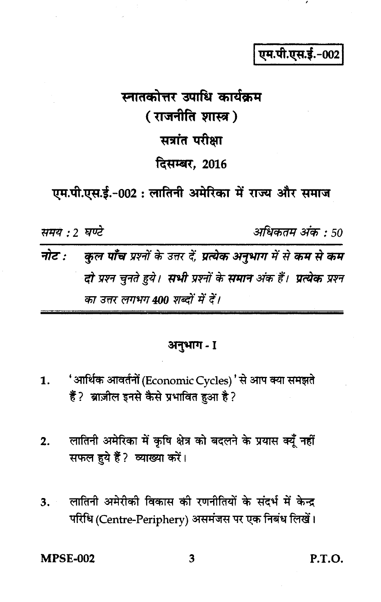## एम.पी.एस.ई.-002

# स्नातकोत्तर उपाधि कार्यकम (राजनीति शास्त्र) सत्रांत परीक्षा दिसम्बर, 2016

एम.पी.एस.ई.-002 : लातिनी अमेरिका में राज्य और समाज

समय : 2 घण्टे

अधिकतम अंक : 50

कुल पाँच प्रश्नों के उत्तर दें, प्रत्येक अनुभाग में से कम से कम नोट $:$ दो प्रश्न चुनते हुये। सभी प्रश्नों के समान अंक हैं। प्रत्येक प्रश्न का उत्तर लगभग 400 शब्दों में दें।

## अनुभाग- I

- 'आर्थिक आवर्तनों (Economic Cycles)' से आप क्या समझते 1. हैं ? ब्राज़ील इनसे कैसे प्रभावित हुआ है ?
- लातिनी अमेरिका में कृषि क्षेत्र को बदलने के प्रयास क्यूँ नहीं  $2.$ सफल हुये हैं ? व्याख्या करें।
- लातिनी अमेरीकी विकास की रणनीतियों के संदर्भ में केन्द्र  $3.$ परिधि (Centre-Periphery) असमंजस पर एक निबंध लिखें।

**MPSF-002**